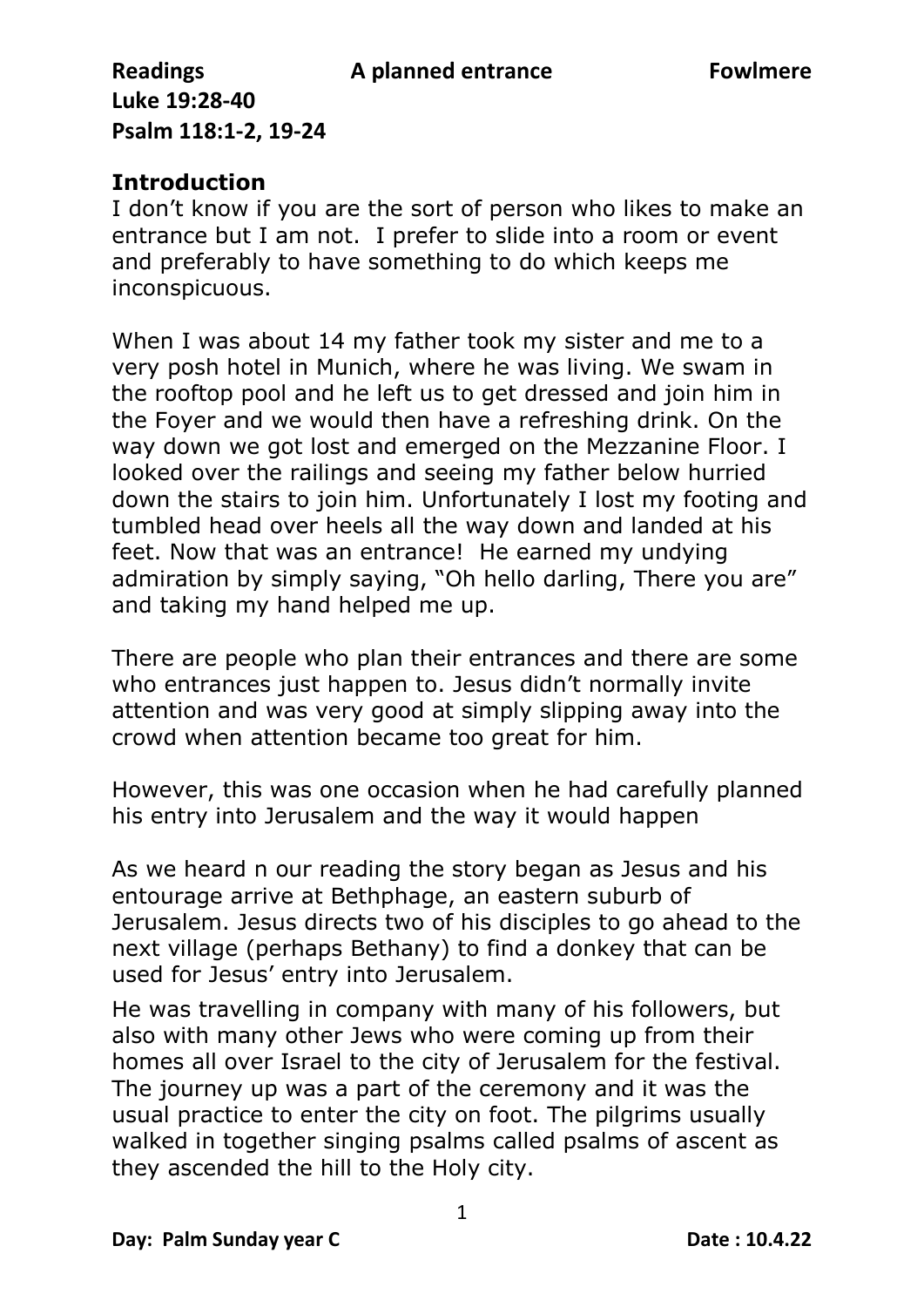## **Introduction**

I don't know if you are the sort of person who likes to make an entrance but I am not. I prefer to slide into a room or event and preferably to have something to do which keeps me inconspicuous.

When I was about 14 my father took my sister and me to a very posh hotel in Munich, where he was living. We swam in the rooftop pool and he left us to get dressed and join him in the Foyer and we would then have a refreshing drink. On the way down we got lost and emerged on the Mezzanine Floor. I looked over the railings and seeing my father below hurried down the stairs to join him. Unfortunately I lost my footing and tumbled head over heels all the way down and landed at his feet. Now that was an entrance! He earned my undying admiration by simply saying, "Oh hello darling, There you are" and taking my hand helped me up.

There are people who plan their entrances and there are some who entrances just happen to. Jesus didn't normally invite attention and was very good at simply slipping away into the crowd when attention became too great for him.

However, this was one occasion when he had carefully planned his entry into Jerusalem and the way it would happen

As we heard n our reading the story began as Jesus and his entourage arrive at Bethphage, an eastern suburb of Jerusalem. Jesus directs two of his disciples to go ahead to the next village (perhaps Bethany) to find a donkey that can be used for Jesus' entry into Jerusalem.

He was travelling in company with many of his followers, but also with many other Jews who were coming up from their homes all over Israel to the city of Jerusalem for the festival. The journey up was a part of the ceremony and it was the usual practice to enter the city on foot. The pilgrims usually walked in together singing psalms called psalms of ascent as they ascended the hill to the Holy city.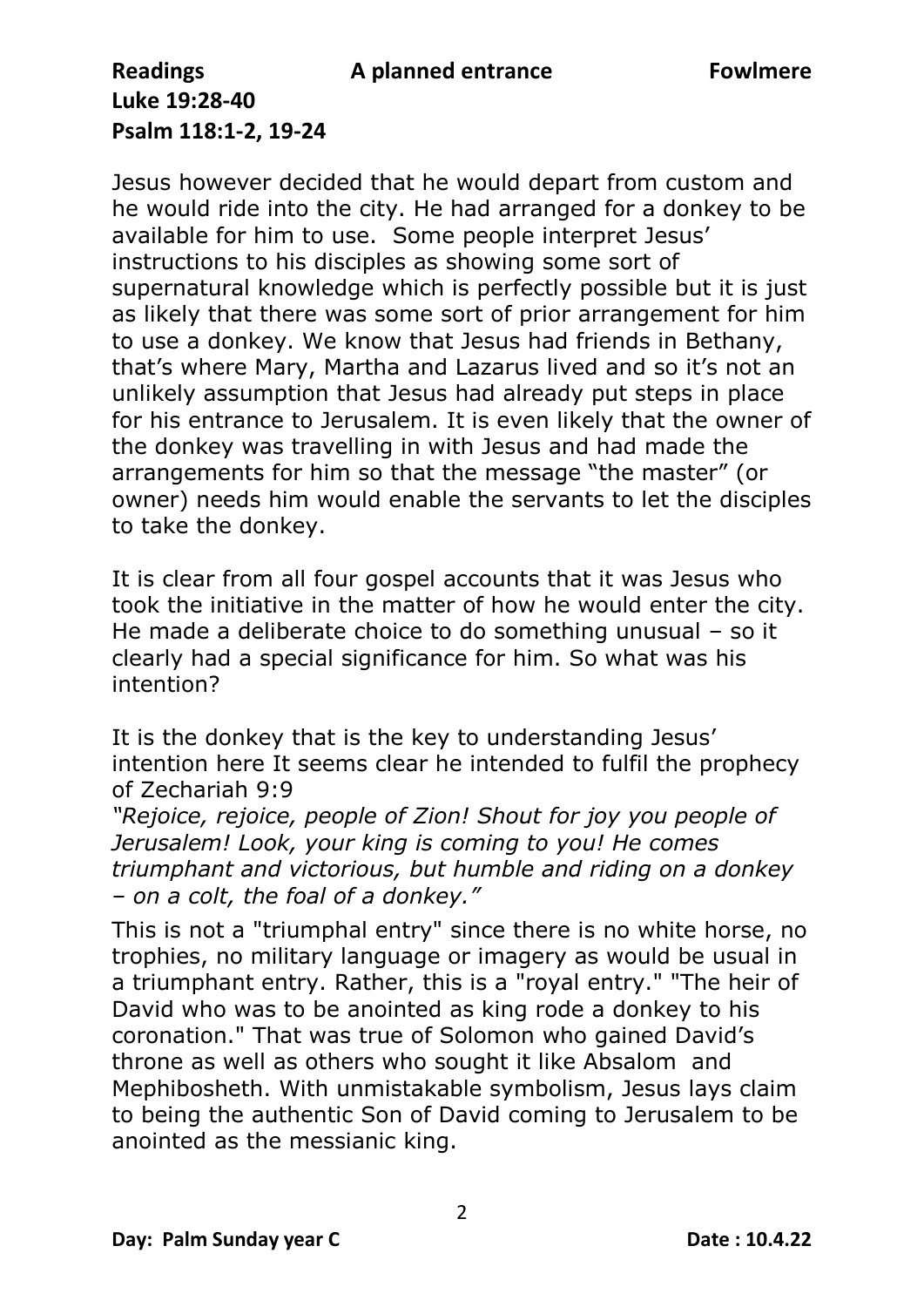Jesus however decided that he would depart from custom and he would ride into the city. He had arranged for a donkey to be available for him to use. Some people interpret Jesus' instructions to his disciples as showing some sort of supernatural knowledge which is perfectly possible but it is just as likely that there was some sort of prior arrangement for him to use a donkey. We know that Jesus had friends in Bethany, that's where Mary, Martha and Lazarus lived and so it's not an unlikely assumption that Jesus had already put steps in place for his entrance to Jerusalem. It is even likely that the owner of the donkey was travelling in with Jesus and had made the arrangements for him so that the message "the master" (or owner) needs him would enable the servants to let the disciples to take the donkey.

It is clear from all four gospel accounts that it was Jesus who took the initiative in the matter of how he would enter the city. He made a deliberate choice to do something unusual – so it clearly had a special significance for him. So what was his intention?

It is the donkey that is the key to understanding Jesus' intention here It seems clear he intended to fulfil the prophecy of Zechariah 9:9

*"Rejoice, rejoice, people of Zion! Shout for joy you people of Jerusalem! Look, your king is coming to you! He comes triumphant and victorious, but humble and riding on a donkey – on a colt, the foal of a donkey."*

This is not a "triumphal entry" since there is no white horse, no trophies, no military language or imagery as would be usual in a triumphant entry. Rather, this is a "royal entry." "The heir of David who was to be anointed as king rode a donkey to his coronation." That was true of Solomon who gained David's throne as well as others who sought it like Absalom and Mephibosheth. With unmistakable symbolism, Jesus lays claim to being the authentic Son of David coming to Jerusalem to be anointed as the messianic king.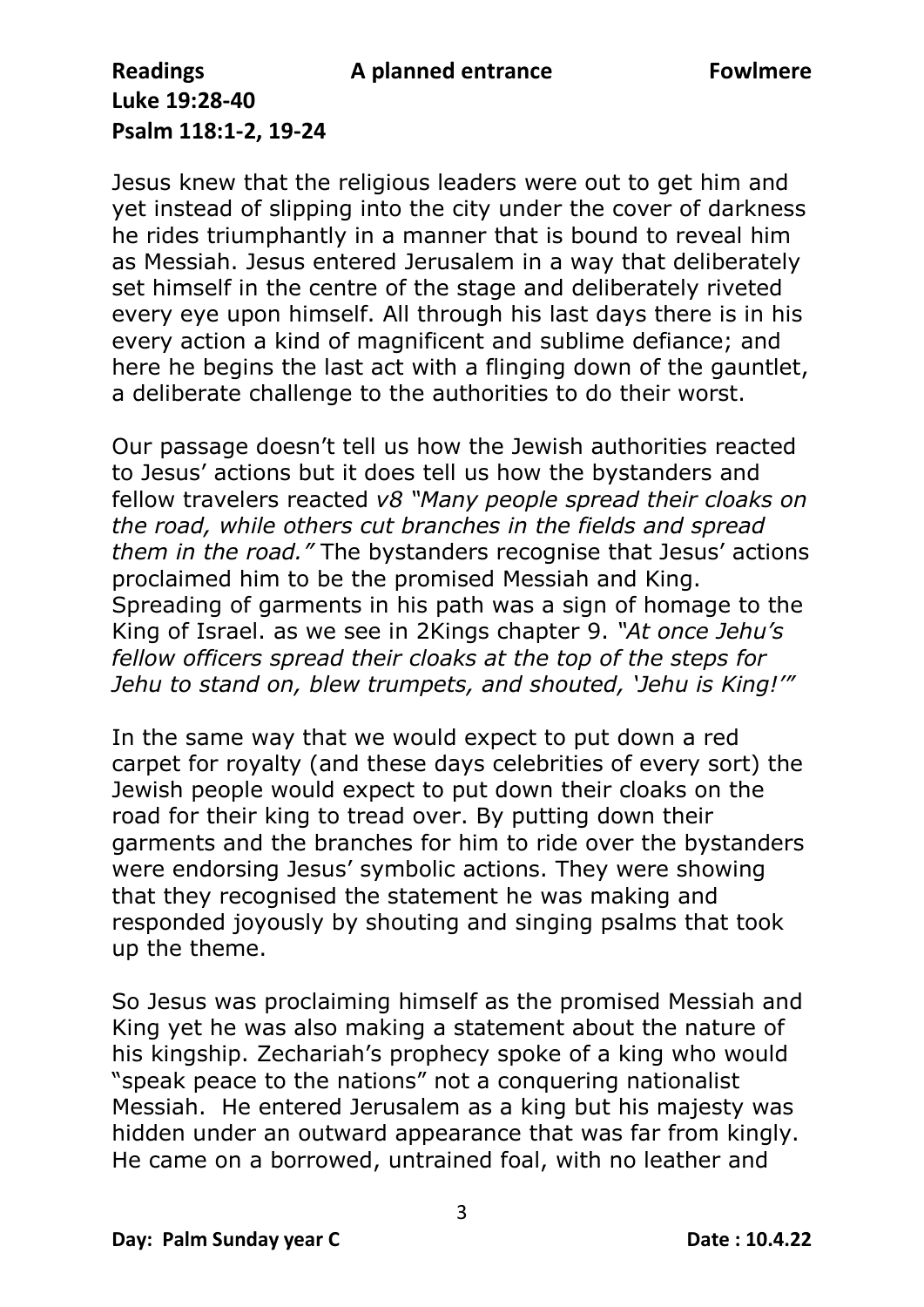Jesus knew that the religious leaders were out to get him and yet instead of slipping into the city under the cover of darkness he rides triumphantly in a manner that is bound to reveal him as Messiah. Jesus entered Jerusalem in a way that deliberately set himself in the centre of the stage and deliberately riveted every eye upon himself. All through his last days there is in his every action a kind of magnificent and sublime defiance; and here he begins the last act with a flinging down of the gauntlet, a deliberate challenge to the authorities to do their worst.

Our passage doesn't tell us how the Jewish authorities reacted to Jesus' actions but it does tell us how the bystanders and fellow travelers reacted *v8 "Many people spread their cloaks on the road, while others cut branches in the fields and spread them in the road."* The bystanders recognise that Jesus' actions proclaimed him to be the promised Messiah and King. Spreading of garments in his path was a sign of homage to the King of Israel. as we see in 2Kings chapter 9. *"At once Jehu's fellow officers spread their cloaks at the top of the steps for Jehu to stand on, blew trumpets, and shouted, 'Jehu is King!'"* 

In the same way that we would expect to put down a red carpet for royalty (and these days celebrities of every sort) the Jewish people would expect to put down their cloaks on the road for their king to tread over. By putting down their garments and the branches for him to ride over the bystanders were endorsing Jesus' symbolic actions. They were showing that they recognised the statement he was making and responded joyously by shouting and singing psalms that took up the theme.

So Jesus was proclaiming himself as the promised Messiah and King yet he was also making a statement about the nature of his kingship. Zechariah's prophecy spoke of a king who would "speak peace to the nations" not a conquering nationalist Messiah. He entered Jerusalem as a king but his majesty was hidden under an outward appearance that was far from kingly. He came on a borrowed, untrained foal, with no leather and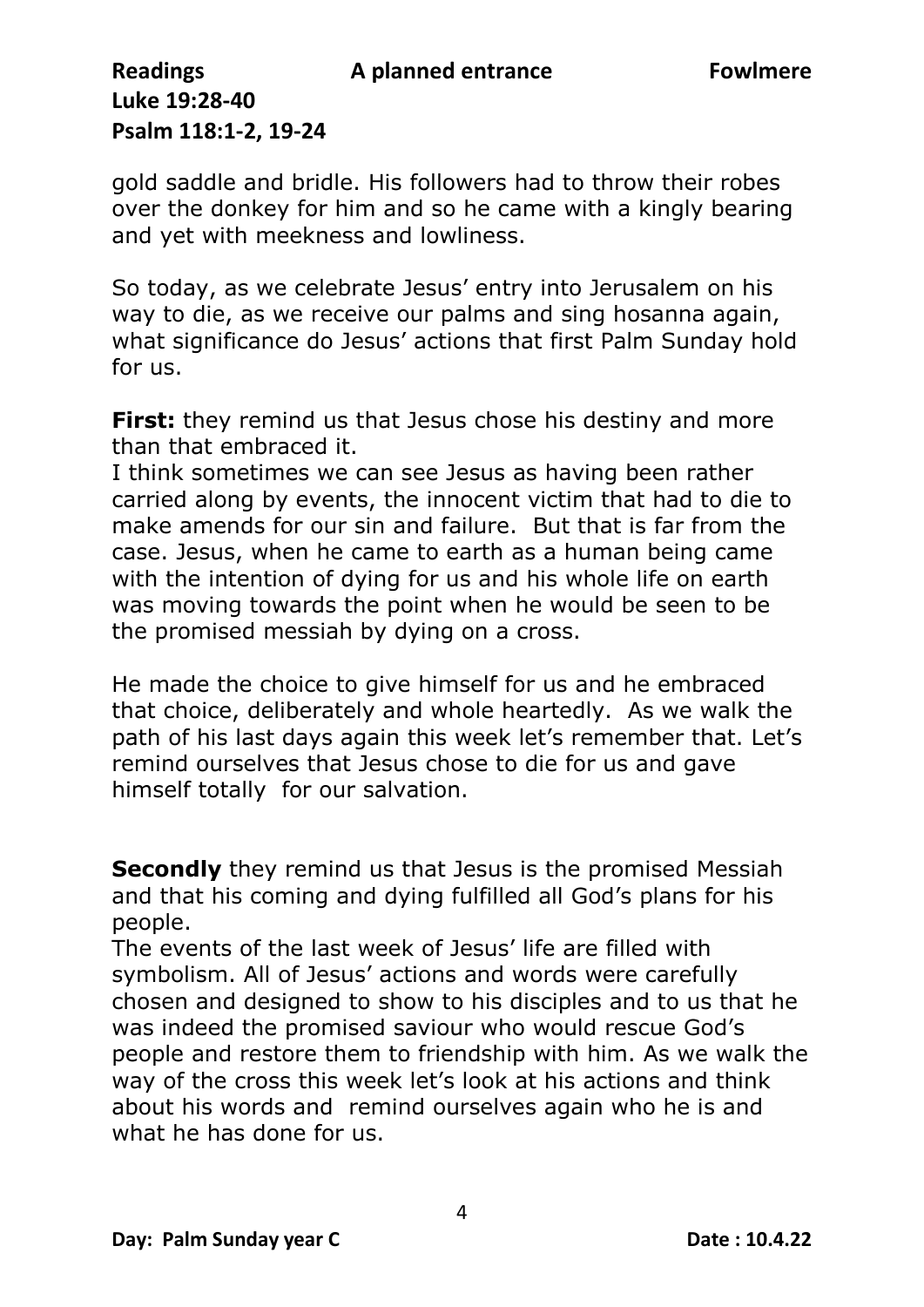gold saddle and bridle. His followers had to throw their robes over the donkey for him and so he came with a kingly bearing and yet with meekness and lowliness.

So today, as we celebrate Jesus' entry into Jerusalem on his way to die, as we receive our palms and sing hosanna again, what significance do Jesus' actions that first Palm Sunday hold for us.

**First:** they remind us that Jesus chose his destiny and more than that embraced it.

I think sometimes we can see Jesus as having been rather carried along by events, the innocent victim that had to die to make amends for our sin and failure. But that is far from the case. Jesus, when he came to earth as a human being came with the intention of dying for us and his whole life on earth was moving towards the point when he would be seen to be the promised messiah by dying on a cross.

He made the choice to give himself for us and he embraced that choice, deliberately and whole heartedly. As we walk the path of his last days again this week let's remember that. Let's remind ourselves that Jesus chose to die for us and gave himself totally for our salvation.

**Secondly** they remind us that Jesus is the promised Messiah and that his coming and dying fulfilled all God's plans for his people.

The events of the last week of Jesus' life are filled with symbolism. All of Jesus' actions and words were carefully chosen and designed to show to his disciples and to us that he was indeed the promised saviour who would rescue God's people and restore them to friendship with him. As we walk the way of the cross this week let's look at his actions and think about his words and remind ourselves again who he is and what he has done for us.